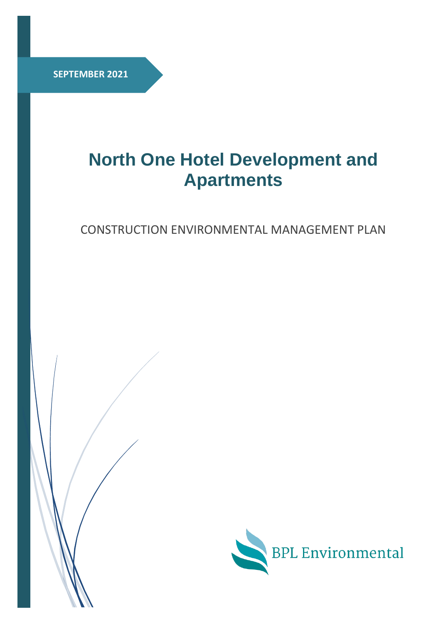**SEPTEMBER 2021**

# **North One Hotel Development and Apartments**

CONSTRUCTION ENVIRONMENTAL MANAGEMENT PLAN

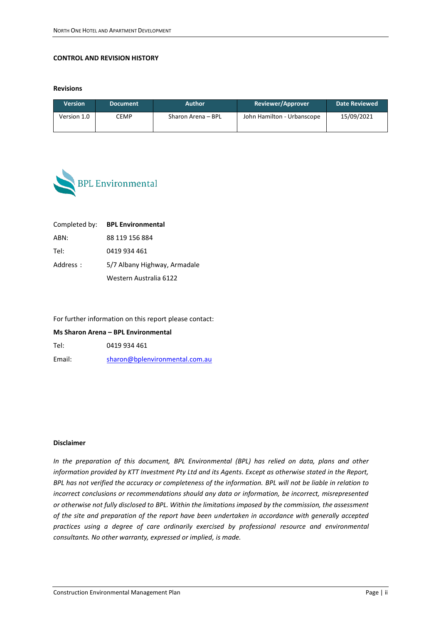#### **CONTROL AND REVISION HISTORY**

**Revisions** 

| <b>Version</b> | <b>Document</b> | <b>Author</b>      | Reviewer/Approver          | Date Reviewed |
|----------------|-----------------|--------------------|----------------------------|---------------|
| Version 1.0    | CEMP            | Sharon Arena – BPL | John Hamilton - Urbanscope | 15/09/2021    |



|          | Completed by: BPL Environmental |
|----------|---------------------------------|
| ABN:     | 88 119 156 884                  |
| Tel:     | 0419 934 461                    |
| Address: | 5/7 Albany Highway, Armadale    |
|          | Western Australia 6122          |

For further information on this report please contact:

**Ms Sharon Arena – BPL Environmental** 

Tel: 0419 934 461

Email: [sharon@bplenvironmental.com.au](mailto:sharon@bplenvironmental.com.au)

#### **Disclaimer**

*In the preparation of this document, BPL Environmental (BPL) has relied on data, plans and other information provided by KTT Investment Pty Ltd and its Agents. Except as otherwise stated in the Report, BPL has not verified the accuracy or completeness of the information. BPL will not be liable in relation to incorrect conclusions or recommendations should any data or information, be incorrect, misrepresented or otherwise not fully disclosed to BPL. Within the limitations imposed by the commission, the assessment of the site and preparation of the report have been undertaken in accordance with generally accepted practices using a degree of care ordinarily exercised by professional resource and environmental consultants. No other warranty, expressed or implied, is made.*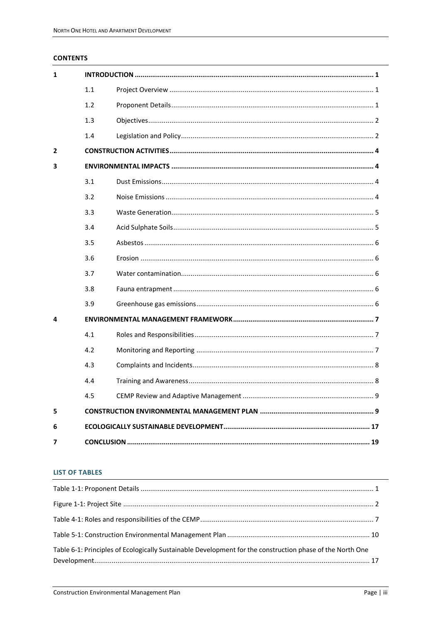#### **CONTENTS**

| 1 |     |  |  |  |  |
|---|-----|--|--|--|--|
|   | 1.1 |  |  |  |  |
|   | 1.2 |  |  |  |  |
|   | 1.3 |  |  |  |  |
|   | 1.4 |  |  |  |  |
| 2 |     |  |  |  |  |
| 3 |     |  |  |  |  |
|   | 3.1 |  |  |  |  |
|   | 3.2 |  |  |  |  |
|   | 3.3 |  |  |  |  |
|   | 3.4 |  |  |  |  |
|   | 3.5 |  |  |  |  |
|   | 3.6 |  |  |  |  |
|   | 3.7 |  |  |  |  |
|   | 3.8 |  |  |  |  |
|   | 3.9 |  |  |  |  |
| 4 |     |  |  |  |  |
|   | 4.1 |  |  |  |  |
|   | 4.2 |  |  |  |  |
|   | 4.3 |  |  |  |  |
|   | 4.4 |  |  |  |  |
|   | 4.5 |  |  |  |  |
| 5 |     |  |  |  |  |
| 6 |     |  |  |  |  |
| 7 |     |  |  |  |  |

#### **LIST OF TABLES**

| Table 6-1: Principles of Ecologically Sustainable Development for the construction phase of the North One |  |
|-----------------------------------------------------------------------------------------------------------|--|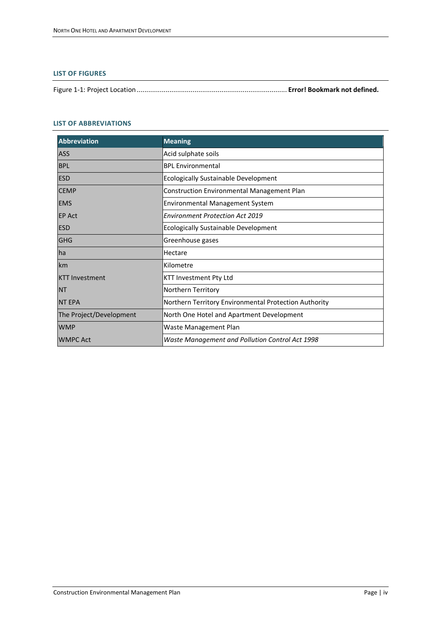#### **LIST OF FIGURES**

Figure 1-1: Project Location.............................................................................. **Error! Bookmark not defined.**

#### **LIST OF ABBREVIATIONS**

| <b>Abbreviation</b>     | <b>Meaning</b>                                        |
|-------------------------|-------------------------------------------------------|
| <b>ASS</b>              | Acid sulphate soils                                   |
| <b>BPL</b>              | <b>BPL Environmental</b>                              |
| <b>ESD</b>              | <b>Ecologically Sustainable Development</b>           |
| <b>CEMP</b>             | <b>Construction Environmental Management Plan</b>     |
| <b>EMS</b>              | Environmental Management System                       |
| <b>EP Act</b>           | <b>Environment Protection Act 2019</b>                |
| <b>ESD</b>              | Ecologically Sustainable Development                  |
| <b>GHG</b>              | Greenhouse gases                                      |
| ha                      | Hectare                                               |
| km                      | Kilometre                                             |
| <b>KTT Investment</b>   | KTT Investment Pty Ltd                                |
| <b>NT</b>               | Northern Territory                                    |
| <b>NT EPA</b>           | Northern Territory Environmental Protection Authority |
| The Project/Development | North One Hotel and Apartment Development             |
| <b>WMP</b>              | Waste Management Plan                                 |
| <b>WMPC Act</b>         | Waste Management and Pollution Control Act 1998       |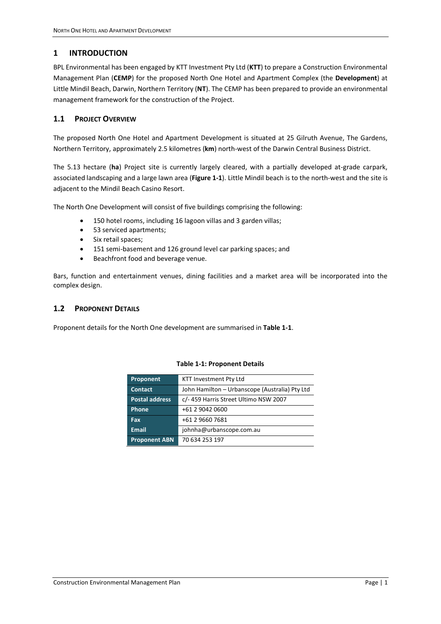# <span id="page-4-0"></span>**1 INTRODUCTION**

BPL Environmental has been engaged by KTT Investment Pty Ltd (**KTT**) to prepare a Construction Environmental Management Plan (**CEMP**) for the proposed North One Hotel and Apartment Complex (the **Development**) at Little Mindil Beach, Darwin, Northern Territory (**NT**). The CEMP has been prepared to provide an environmental management framework for the construction of the Project.

# <span id="page-4-1"></span>**1.1 PROJECT OVERVIEW**

The proposed North One Hotel and Apartment Development is situated at 25 Gilruth Avenue, The Gardens, Northern Territory, approximately 2.5 kilometres (**km**) north-west of the Darwin Central Business District.

The 5.13 hectare (**ha**) Project site is currently largely cleared, with a partially developed at-grade carpark, associated landscaping and a large lawn area (**Figure 1-1**). Little Mindil beach is to the north-west and the site is adjacent to the Mindil Beach Casino Resort.

The North One Development will consist of five buildings comprising the following:

- 150 hotel rooms, including 16 lagoon villas and 3 garden villas;
- 53 serviced apartments;
- Six retail spaces;
- 151 semi-basement and 126 ground level car parking spaces; and
- Beachfront food and beverage venue.

Bars, function and entertainment venues, dining facilities and a market area will be incorporated into the complex design.

#### <span id="page-4-2"></span>**1.2 PROPONENT DETAILS**

<span id="page-4-3"></span>Proponent details for the North One development are summarised in **[Table 1-1](#page-4-3)**.

| Proponent             | KTT Investment Pty Ltd                         |
|-----------------------|------------------------------------------------|
| <b>Contact</b>        | John Hamilton - Urbanscope (Australia) Pty Ltd |
| <b>Postal address</b> | c/-459 Harris Street Ultimo NSW 2007           |
| Phone                 | +61 2 9042 0600                                |
| Fax                   | +61 2 9660 7681                                |
| <b>Email</b>          | johnha@urbanscope.com.au                       |
| <b>Proponent ABN</b>  | 70 634 253 197                                 |

#### **Table 1-1: Proponent Details**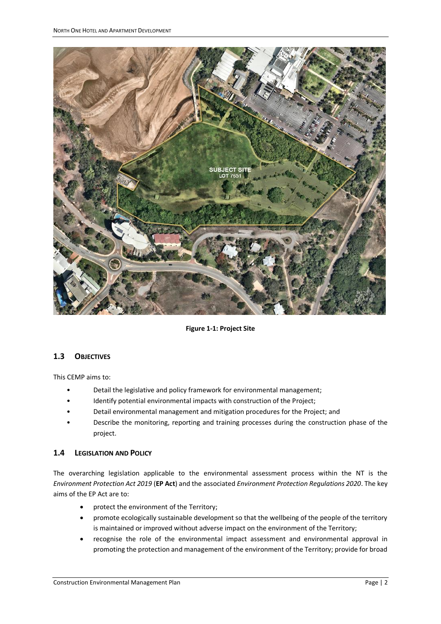

**Figure 1-1: Project Site**

# <span id="page-5-2"></span><span id="page-5-0"></span>**1.3 OBJECTIVES**

This CEMP aims to:

- Detail the legislative and policy framework for environmental management;
- Identify potential environmental impacts with construction of the Project;
- Detail environmental management and mitigation procedures for the Project; and
- Describe the monitoring, reporting and training processes during the construction phase of the project.

# <span id="page-5-1"></span>**1.4 LEGISLATION AND POLICY**

The overarching legislation applicable to the environmental assessment process within the NT is the *Environment Protection Act 2019* (**EP Act**) and the associated *Environment Protection Regulations 2020*. The key aims of the EP Act are to:

- protect the environment of the Territory;
- promote ecologically sustainable development so that the wellbeing of the people of the territory is maintained or improved without adverse impact on the environment of the Territory;
- recognise the role of the environmental impact assessment and environmental approval in promoting the protection and management of the environment of the Territory; provide for broad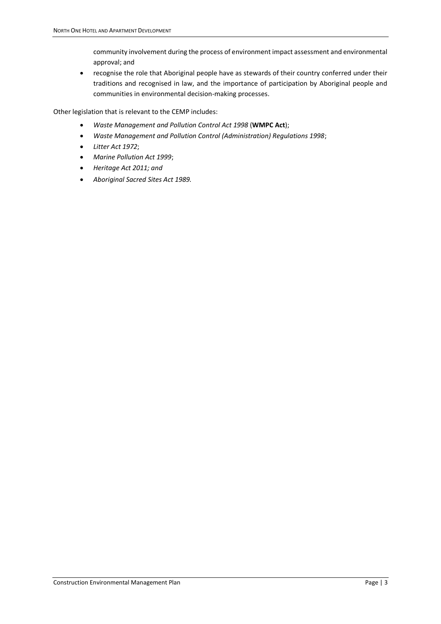community involvement during the process of environment impact assessment and environmental approval; and

• recognise the role that Aboriginal people have as stewards of their country conferred under their traditions and recognised in law, and the importance of participation by Aboriginal people and communities in environmental decision-making processes.

Other legislation that is relevant to the CEMP includes:

- *Waste Management and Pollution Control Act 1998* (**WMPC Act**);
- *Waste Management and Pollution Control (Administration) Regulations 1998*;
- *Litter Act 1972*;
- *Marine Pollution Act 1999*;
- *Heritage Act 2011; and*
- *Aboriginal Sacred Sites Act 1989.*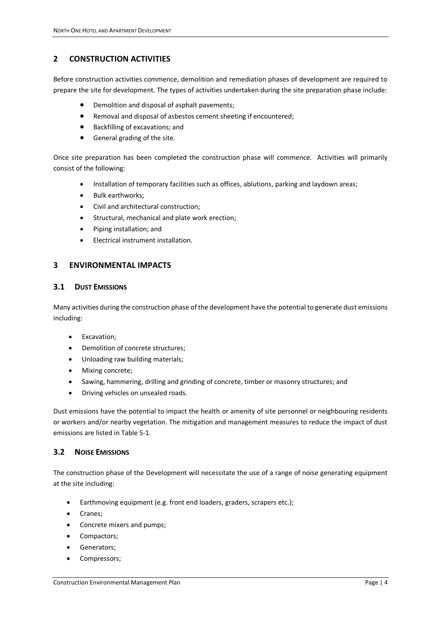# <span id="page-7-0"></span>**2 CONSTRUCTION ACTIVITIES**

Before construction activities commence, demolition and remediation phases of development are required to prepare the site for development. The types of activities undertaken during the site preparation phase include:

- Demolition and disposal of asphalt pavements;
- Removal and disposal of asbestos cement sheeting if encountered;
- Backfilling of excavations; and
- General grading of the site.

Once site preparation has been completed the construction phase will commence. Activities will primarily consist of the following:

- Installation of temporary facilities such as offices, ablutions, parking and laydown areas;
- Bulk earthworks;
- Civil and architectural construction;
- Structural, mechanical and plate work erection;
- Piping installation; and
- Electrical instrument installation.

# <span id="page-7-1"></span>**3 ENVIRONMENTAL IMPACTS**

### <span id="page-7-2"></span>**3.1 DUST EMISSIONS**

Many activities during the construction phase of the development have the potential to generate dust emissions including:

- Excavation;
- Demolition of concrete structures;
- Unloading raw building materials;
- Mixing concrete;
- Sawing, hammering, drilling and grinding of concrete, timber or masonry structures; and
- Driving vehicles on unsealed roads.

Dust emissions have the potential to impact the health or amenity of site personnel or neighbouring residents or workers and/or nearby vegetation. The mitigation and management measures to reduce the impact of dust emissions are listed i[n Table 5-1.](#page-13-0)

#### <span id="page-7-3"></span>**3.2 NOISE EMISSIONS**

The construction phase of the Development will necessitate the use of a range of noise generating equipment at the site including:

- Earthmoving equipment (e.g. front end loaders, graders, scrapers etc.);
- Cranes;
- Concrete mixers and pumps;
- Compactors;
- Generators;
- Compressors;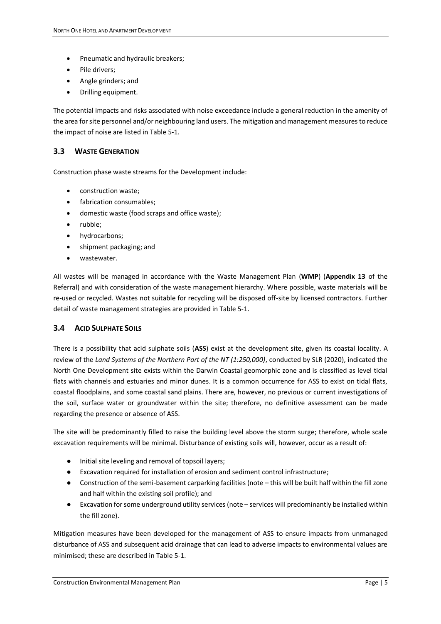- Pneumatic and hydraulic breakers;
- Pile drivers;
- Angle grinders; and
- Drilling equipment.

The potential impacts and risks associated with noise exceedance include a general reduction in the amenity of the area for site personnel and/or neighbouring land users. The mitigation and management measures to reduce the impact of noise are listed i[n Table 5-1.](#page-13-0)

## <span id="page-8-0"></span>**3.3 WASTE GENERATION**

Construction phase waste streams for the Development include:

- construction waste;
- fabrication consumables;
- domestic waste (food scraps and office waste);
- rubble;
- hydrocarbons;
- shipment packaging; and
- wastewater.

All wastes will be managed in accordance with the Waste Management Plan (**WMP**) (**Appendix 13** of the Referral) and with consideration of the waste management hierarchy. Where possible, waste materials will be re-used or recycled. Wastes not suitable for recycling will be disposed off-site by licensed contractors. Further detail of waste management strategies are provided i[n Table 5-1.](#page-13-0)

#### <span id="page-8-1"></span>**3.4 ACID SULPHATE SOILS**

There is a possibility that acid sulphate soils (**ASS**) exist at the development site, given its coastal locality. A review of the *Land Systems of the Northern Part of the NT (1:250,000)*, conducted by SLR (2020), indicated the North One Development site exists within the Darwin Coastal geomorphic zone and is classified as level tidal flats with channels and estuaries and minor dunes. It is a common occurrence for ASS to exist on tidal flats, coastal floodplains, and some coastal sand plains. There are, however, no previous or current investigations of the soil, surface water or groundwater within the site; therefore, no definitive assessment can be made regarding the presence or absence of ASS.

The site will be predominantly filled to raise the building level above the storm surge; therefore, whole scale excavation requirements will be minimal. Disturbance of existing soils will, however, occur as a result of:

- Initial site leveling and removal of topsoil layers;
- Excavation required for installation of erosion and sediment control infrastructure;
- Construction of the semi-basement carparking facilities (note this will be built half within the fill zone and half within the existing soil profile); and
- Excavation for some underground utility services (note services will predominantly be installed within the fill zone).

Mitigation measures have been developed for the management of ASS to ensure impacts from unmanaged disturbance of ASS and subsequent acid drainage that can lead to adverse impacts to environmental values are minimised; these are described in [Table 5-1.](#page-13-0)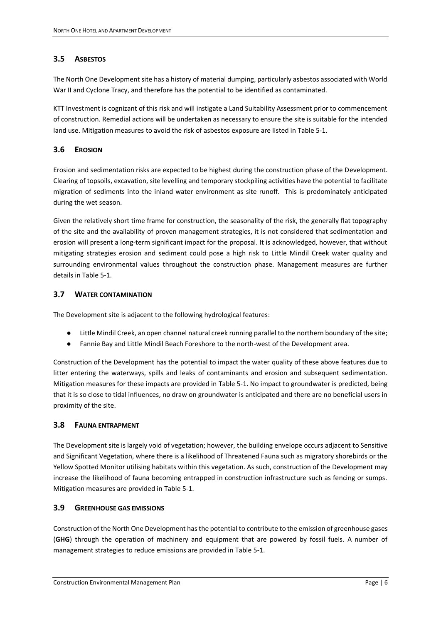# <span id="page-9-0"></span>**3.5 ASBESTOS**

The North One Development site has a history of material dumping, particularly asbestos associated with World War II and Cyclone Tracy, and therefore has the potential to be identified as contaminated.

KTT Investment is cognizant of this risk and will instigate a Land Suitability Assessment prior to commencement of construction. Remedial actions will be undertaken as necessary to ensure the site is suitable for the intended land use. Mitigation measures to avoid the risk of asbestos exposure are listed in [Table 5-1.](#page-13-0)

# <span id="page-9-1"></span>**3.6 EROSION**

Erosion and sedimentation risks are expected to be highest during the construction phase of the Development. Clearing of topsoils, excavation, site levelling and temporary stockpiling activities have the potential to facilitate migration of sediments into the inland water environment as site runoff. This is predominately anticipated during the wet season.

Given the relatively short time frame for construction, the seasonality of the risk, the generally flat topography of the site and the availability of proven management strategies, it is not considered that sedimentation and erosion will present a long-term significant impact for the proposal. It is acknowledged, however, that without mitigating strategies erosion and sediment could pose a high risk to Little Mindil Creek water quality and surrounding environmental values throughout the construction phase. Management measures are further details in [Table 5-1.](#page-13-0)

# <span id="page-9-2"></span>**3.7 WATER CONTAMINATION**

The Development site is adjacent to the following hydrological features:

- Little Mindil Creek, an open channel natural creek running parallel to the northern boundary of the site;
- Fannie Bay and Little Mindil Beach Foreshore to the north-west of the Development area.

Construction of the Development has the potential to impact the water quality of these above features due to litter entering the waterways, spills and leaks of contaminants and erosion and subsequent sedimentation. Mitigation measures for these impacts are provided in [Table 5-1.](#page-13-0) No impact to groundwater is predicted, being that it is so close to tidal influences, no draw on groundwater is anticipated and there are no beneficial users in proximity of the site.

# <span id="page-9-3"></span>**3.8 FAUNA ENTRAPMENT**

The Development site is largely void of vegetation; however, the building envelope occurs adjacent to Sensitive and Significant Vegetation, where there is a likelihood of Threatened Fauna such as migratory shorebirds or the Yellow Spotted Monitor utilising habitats within this vegetation. As such, construction of the Development may increase the likelihood of fauna becoming entrapped in construction infrastructure such as fencing or sumps. Mitigation measures are provided in [Table 5-1.](#page-13-0)

#### <span id="page-9-4"></span>**3.9 GREENHOUSE GAS EMISSIONS**

Construction of the North One Development has the potential to contribute to the emission of greenhouse gases (**GHG**) through the operation of machinery and equipment that are powered by fossil fuels. A number of management strategies to reduce emissions are provided i[n Table 5-1.](#page-13-0)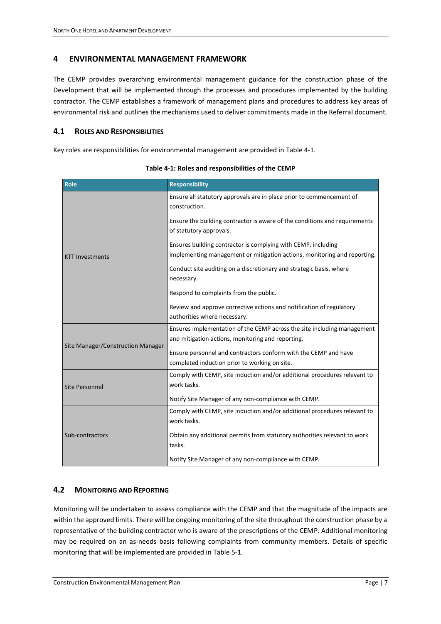# <span id="page-10-0"></span>**4 ENVIRONMENTAL MANAGEMENT FRAMEWORK**

The CEMP provides overarching environmental management guidance for the construction phase of the Development that will be implemented through the processes and procedures implemented by the building contractor. The CEMP establishes a framework of management plans and procedures to address key areas of environmental risk and outlines the mechanisms used to deliver commitments made in the Referral document.

## <span id="page-10-1"></span>**4.1 ROLES AND RESPONSIBILITIES**

Key roles are responsibilities for environmental management are provided in [Table 4-1.](#page-10-3)

<span id="page-10-3"></span>

| Role                              | <b>Responsibility</b>                                                                                                                     |
|-----------------------------------|-------------------------------------------------------------------------------------------------------------------------------------------|
|                                   | Ensure all statutory approvals are in place prior to commencement of<br>construction.                                                     |
|                                   | Ensure the building contractor is aware of the conditions and requirements<br>of statutory approvals.                                     |
| <b>KTT Investments</b>            | Ensures building contractor is complying with CEMP, including<br>implementing management or mitigation actions, monitoring and reporting. |
|                                   | Conduct site auditing on a discretionary and strategic basis, where<br>necessary.                                                         |
|                                   | Respond to complaints from the public.                                                                                                    |
|                                   | Review and approve corrective actions and notification of regulatory                                                                      |
|                                   | authorities where necessary.                                                                                                              |
|                                   | Ensures implementation of the CEMP across the site including management                                                                   |
| Site Manager/Construction Manager | and mitigation actions, monitoring and reporting.                                                                                         |
|                                   | Ensure personnel and contractors conform with the CEMP and have<br>completed induction prior to working on site.                          |
|                                   | Comply with CEMP, site induction and/or additional procedures relevant to                                                                 |
| Site Personnel                    | work tasks.                                                                                                                               |
|                                   | Notify Site Manager of any non-compliance with CEMP.                                                                                      |
|                                   | Comply with CEMP, site induction and/or additional procedures relevant to                                                                 |
|                                   | work tasks.                                                                                                                               |
| Sub-contractors                   | Obtain any additional permits from statutory authorities relevant to work<br>tasks.                                                       |
|                                   | Notify Site Manager of any non-compliance with CEMP.                                                                                      |

**Table 4-1: Roles and responsibilities of the CEMP**

# <span id="page-10-2"></span>**4.2 MONITORING AND REPORTING**

Monitoring will be undertaken to assess compliance with the CEMP and that the magnitude of the impacts are within the approved limits. There will be ongoing monitoring of the site throughout the construction phase by a representative of the building contractor who is aware of the prescriptions of the CEMP. Additional monitoring may be required on an as-needs basis following complaints from community members. Details of specific monitoring that will be implemented are provided in [Table 5-1.](#page-13-0)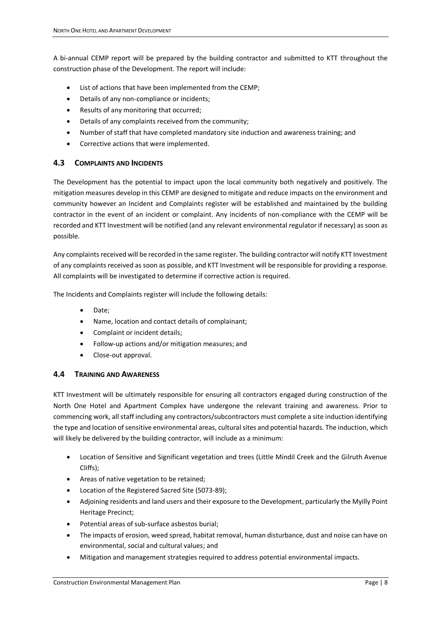A bi-annual CEMP report will be prepared by the building contractor and submitted to KTT throughout the construction phase of the Development. The report will include:

- List of actions that have been implemented from the CEMP;
- Details of any non-compliance or incidents;
- Results of any monitoring that occurred;
- Details of any complaints received from the community;
- Number of staff that have completed mandatory site induction and awareness training; and
- Corrective actions that were implemented.

### <span id="page-11-0"></span>**4.3 COMPLAINTS AND INCIDENTS**

The Development has the potential to impact upon the local community both negatively and positively. The mitigation measures develop in this CEMP are designed to mitigate and reduce impacts on the environment and community however an Incident and Complaints register will be established and maintained by the building contractor in the event of an incident or complaint. Any incidents of non-compliance with the CEMP will be recorded and KTT Investment will be notified (and any relevant environmental regulator if necessary) as soon as possible.

Any complaints received will be recorded in the same register. The building contractor will notify KTT Investment of any complaints received as soon as possible, and KTT Investment will be responsible for providing a response. All complaints will be investigated to determine if corrective action is required.

The Incidents and Complaints register will include the following details:

- Date;
- Name, location and contact details of complainant;
- Complaint or incident details;
- Follow-up actions and/or mitigation measures; and
- Close-out approval.

#### <span id="page-11-1"></span>**4.4 TRAINING AND AWARENESS**

KTT Investment will be ultimately responsible for ensuring all contractors engaged during construction of the North One Hotel and Apartment Complex have undergone the relevant training and awareness. Prior to commencing work, all staff including any contractors/subcontractors must complete a site induction identifying the type and location of sensitive environmental areas, cultural sites and potential hazards. The induction, which will likely be delivered by the building contractor, will include as a minimum:

- Location of Sensitive and Significant vegetation and trees (Little Mindil Creek and the Gilruth Avenue Cliffs);
- Areas of native vegetation to be retained;
- Location of the Registered Sacred Site (5073-89);
- Adjoining residents and land users and their exposure to the Development, particularly the Myilly Point Heritage Precinct;
- Potential areas of sub-surface asbestos burial;
- The impacts of erosion, weed spread, habitat removal, human disturbance, dust and noise can have on environmental, social and cultural values; and
- Mitigation and management strategies required to address potential environmental impacts.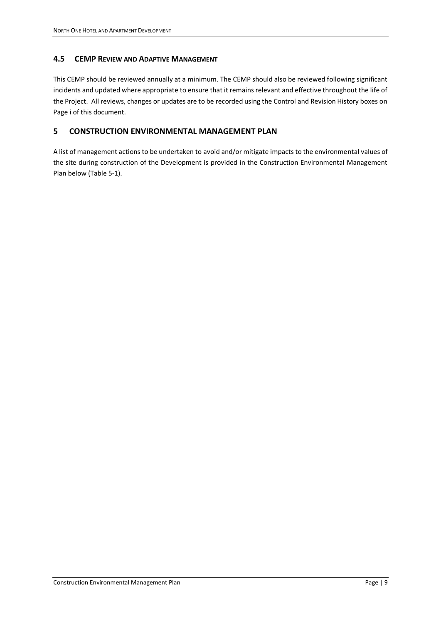## <span id="page-12-0"></span>**4.5 CEMP REVIEW AND ADAPTIVE MANAGEMENT**

This CEMP should be reviewed annually at a minimum. The CEMP should also be reviewed following significant incidents and updated where appropriate to ensure that it remains relevant and effective throughout the life of the Project. All reviews, changes or updates are to be recorded using the Control and Revision History boxes on Page i of this document.

# <span id="page-12-1"></span>**5 CONSTRUCTION ENVIRONMENTAL MANAGEMENT PLAN**

A list of management actions to be undertaken to avoid and/or mitigate impacts to the environmental values of the site during construction of the Development is provided in the Construction Environmental Management Plan below [\(Table 5-1\)](#page-13-0).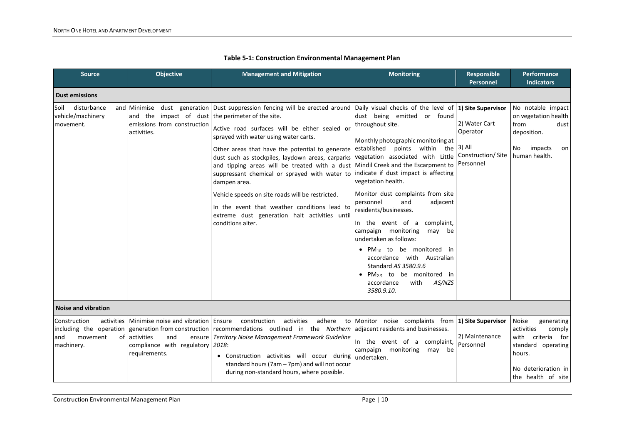<span id="page-13-0"></span>

| <b>Source</b>                                                                  | <b>Objective</b>                                                                                                             | <b>Management and Mitigation</b>                                                                                                                                                                                                                                                                                                                                                                                                                                                                                                                                                                                                 | <b>Monitoring</b>                                                                                                                                                                                                                                                                                                                                                                                                                                                                                                                                                                                                                            | Responsible<br>Personnel                                              | Performance<br><b>Indicators</b>                                                                                                              |
|--------------------------------------------------------------------------------|------------------------------------------------------------------------------------------------------------------------------|----------------------------------------------------------------------------------------------------------------------------------------------------------------------------------------------------------------------------------------------------------------------------------------------------------------------------------------------------------------------------------------------------------------------------------------------------------------------------------------------------------------------------------------------------------------------------------------------------------------------------------|----------------------------------------------------------------------------------------------------------------------------------------------------------------------------------------------------------------------------------------------------------------------------------------------------------------------------------------------------------------------------------------------------------------------------------------------------------------------------------------------------------------------------------------------------------------------------------------------------------------------------------------------|-----------------------------------------------------------------------|-----------------------------------------------------------------------------------------------------------------------------------------------|
| <b>Dust emissions</b>                                                          |                                                                                                                              |                                                                                                                                                                                                                                                                                                                                                                                                                                                                                                                                                                                                                                  |                                                                                                                                                                                                                                                                                                                                                                                                                                                                                                                                                                                                                                              |                                                                       |                                                                                                                                               |
| disturbance<br>Soil<br>vehicle/machinery<br>movement.                          | and the impact of dust the perimeter of the site.<br>emissions from construction<br>activities.                              | and Minimise dust generation Dust suppression fencing will be erected around Daily visual checks of the level of 1) Site Supervisor<br>Active road surfaces will be either sealed or<br>sprayed with water using water carts.<br>Other areas that have the potential to generate<br>dust such as stockpiles, laydown areas, carparks<br>and tipping areas will be treated with a dust<br>suppressant chemical or sprayed with water to<br>dampen area.<br>Vehicle speeds on site roads will be restricted.<br>In the event that weather conditions lead to<br>extreme dust generation halt activities until<br>conditions alter. | dust being emitted<br>or found<br>throughout site.<br>Monthly photographic monitoring at<br>established points within the<br>vegetation associated with Little<br>Mindil Creek and the Escarpment to<br>indicate if dust impact is affecting<br>vegetation health.<br>Monitor dust complaints from site<br>personnel<br>adjacent<br>and<br>residents/businesses.<br>In the event of a<br>complaint,<br>campaign monitoring<br>may be<br>undertaken as follows:<br>• $PM_{10}$ to be monitored<br>- in<br>accordance with Australian<br>Standard AS 3580.9.6<br>• $PM_{2.5}$ to be monitored in<br>accordance<br>with<br>AS/NZS<br>3580.9.10. | 2) Water Cart<br>Operator<br>3) All<br>Construction/Site<br>Personnel | No notable impact<br>on vegetation health<br>from<br>dust<br>deposition.<br>impacts<br>No<br>on<br>human health.                              |
| <b>Noise and vibration</b>                                                     |                                                                                                                              |                                                                                                                                                                                                                                                                                                                                                                                                                                                                                                                                                                                                                                  |                                                                                                                                                                                                                                                                                                                                                                                                                                                                                                                                                                                                                                              |                                                                       |                                                                                                                                               |
| Construction<br>including the operation<br>movement<br>and<br>of<br>machinery. | activities   Minimise noise and vibration   Ensure<br>activities<br>and<br>compliance with regulatory 2018:<br>requirements. | activities<br>adhere<br>construction<br>generation from construction recommendations outlined in the Northern<br>ensure   Territory Noise Management Framework Guideline<br>• Construction activities will occur during<br>standard hours (7am - 7pm) and will not occur<br>during non-standard hours, where possible.                                                                                                                                                                                                                                                                                                           | to Monitor noise complaints from 1) Site Supervisor<br>adjacent residents and businesses.<br>In the event of a complaint,<br>campaign monitoring<br>may<br>be<br>undertaken.                                                                                                                                                                                                                                                                                                                                                                                                                                                                 | 2) Maintenance<br>Personnel                                           | Noise<br>generating<br>activities<br>comply<br>with criteria for<br>standard operating<br>hours.<br>No deterioration in<br>the health of site |

### **Table 5-1: Construction Environmental Management Plan**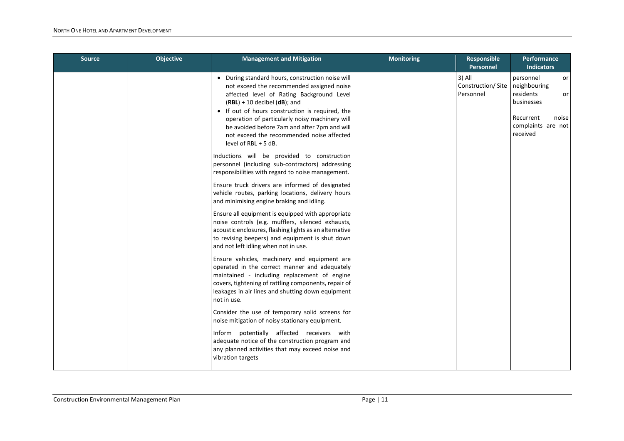| <b>Source</b> | <b>Objective</b> | <b>Management and Mitigation</b>                                                                                                                                                                                                                                                                                                                                                                          | <b>Monitoring</b> | Responsible<br>Personnel                 | Performance<br><b>Indicators</b>                                                                                           |
|---------------|------------------|-----------------------------------------------------------------------------------------------------------------------------------------------------------------------------------------------------------------------------------------------------------------------------------------------------------------------------------------------------------------------------------------------------------|-------------------|------------------------------------------|----------------------------------------------------------------------------------------------------------------------------|
|               |                  | • During standard hours, construction noise will<br>not exceed the recommended assigned noise<br>affected level of Rating Background Level<br>$(RBL) + 10$ decibel $(dB)$ ; and<br>• If out of hours construction is required, the<br>operation of particularly noisy machinery will<br>be avoided before 7am and after 7pm and will<br>not exceed the recommended noise affected<br>level of RBL + 5 dB. |                   | 3) All<br>Construction/Site<br>Personnel | personnel<br>or I<br>neighbouring<br>residents<br>or<br>businesses<br>Recurrent<br>noise<br>complaints are not<br>received |
|               |                  | Inductions will be provided to construction<br>personnel (including sub-contractors) addressing<br>responsibilities with regard to noise management.                                                                                                                                                                                                                                                      |                   |                                          |                                                                                                                            |
|               |                  | Ensure truck drivers are informed of designated<br>vehicle routes, parking locations, delivery hours<br>and minimising engine braking and idling.                                                                                                                                                                                                                                                         |                   |                                          |                                                                                                                            |
|               |                  | Ensure all equipment is equipped with appropriate<br>noise controls (e.g. mufflers, silenced exhausts,<br>acoustic enclosures, flashing lights as an alternative<br>to revising beepers) and equipment is shut down<br>and not left idling when not in use.                                                                                                                                               |                   |                                          |                                                                                                                            |
|               |                  | Ensure vehicles, machinery and equipment are<br>operated in the correct manner and adequately<br>maintained - including replacement of engine<br>covers, tightening of rattling components, repair of<br>leakages in air lines and shutting down equipment<br>not in use.                                                                                                                                 |                   |                                          |                                                                                                                            |
|               |                  | Consider the use of temporary solid screens for<br>noise mitigation of noisy stationary equipment.                                                                                                                                                                                                                                                                                                        |                   |                                          |                                                                                                                            |
|               |                  | Inform potentially affected receivers with<br>adequate notice of the construction program and<br>any planned activities that may exceed noise and<br>vibration targets                                                                                                                                                                                                                                    |                   |                                          |                                                                                                                            |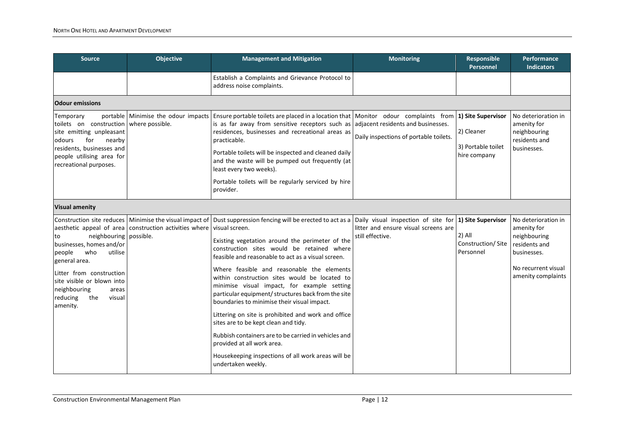| <b>Source</b>                                                                                                                                                                                                                       | Objective                                                             | <b>Management and Mitigation</b>                                                                                                                                                                                                                                                                                                                                                                                                                                                                                                                                                                                                                                                                                                                                                                                             | <b>Monitoring</b>                                        | <b>Responsible</b><br>Personnel                                        | Performance<br><b>Indicators</b>                                                                                                |
|-------------------------------------------------------------------------------------------------------------------------------------------------------------------------------------------------------------------------------------|-----------------------------------------------------------------------|------------------------------------------------------------------------------------------------------------------------------------------------------------------------------------------------------------------------------------------------------------------------------------------------------------------------------------------------------------------------------------------------------------------------------------------------------------------------------------------------------------------------------------------------------------------------------------------------------------------------------------------------------------------------------------------------------------------------------------------------------------------------------------------------------------------------------|----------------------------------------------------------|------------------------------------------------------------------------|---------------------------------------------------------------------------------------------------------------------------------|
|                                                                                                                                                                                                                                     |                                                                       | Establish a Complaints and Grievance Protocol to<br>address noise complaints.                                                                                                                                                                                                                                                                                                                                                                                                                                                                                                                                                                                                                                                                                                                                                |                                                          |                                                                        |                                                                                                                                 |
| <b>Odour emissions</b>                                                                                                                                                                                                              |                                                                       |                                                                                                                                                                                                                                                                                                                                                                                                                                                                                                                                                                                                                                                                                                                                                                                                                              |                                                          |                                                                        |                                                                                                                                 |
| Temporary<br>toilets on construction where possible.<br>site emitting unpleasant<br>for<br>nearby<br>odours<br>residents, businesses and<br>people utilising area for<br>recreational purposes.                                     |                                                                       | portable Minimise the odour impacts Ensure portable toilets are placed in a location that Monitor odour complaints from<br>is as far away from sensitive receptors such as adjacent residents and businesses.<br>residences, businesses and recreational areas as<br>practicable.<br>Portable toilets will be inspected and cleaned daily<br>and the waste will be pumped out frequently (at<br>least every two weeks).<br>Portable toilets will be regularly serviced by hire<br>provider.                                                                                                                                                                                                                                                                                                                                  | Daily inspections of portable toilets.                   | 1) Site Supervisor<br>2) Cleaner<br>3) Portable toilet<br>hire company | No deterioration in<br>amenity for<br>neighbouring<br>residents and<br>businesses.                                              |
| <b>Visual amenity</b>                                                                                                                                                                                                               |                                                                       |                                                                                                                                                                                                                                                                                                                                                                                                                                                                                                                                                                                                                                                                                                                                                                                                                              |                                                          |                                                                        |                                                                                                                                 |
| neighbouring possible.<br>Ito<br>businesses, homes and/or<br>who<br>people<br>utilise<br>general area.<br>lLitter from construction<br>site visible or blown into<br>neighbouring<br>areas<br>reducing<br>the<br>visual<br>amenity. | aesthetic appeal of area construction activities where visual screen. | Construction site reduces Minimise the visual impact of Dust suppression fencing will be erected to act as a Daily visual inspection of site for<br>Existing vegetation around the perimeter of the<br>construction sites would be retained where<br>feasible and reasonable to act as a visual screen.<br>Where feasible and reasonable the elements<br>within construction sites would be located to<br>minimise visual impact, for example setting<br>particular equipment/ structures back from the site<br>boundaries to minimise their visual impact.<br>Littering on site is prohibited and work and office<br>sites are to be kept clean and tidy.<br>Rubbish containers are to be carried in vehicles and<br>provided at all work area.<br>Housekeeping inspections of all work areas will be<br>undertaken weekly. | litter and ensure visual screens are<br>still effective. | 1) Site Supervisor<br>2) All<br>Construction/Site<br>Personnel         | No deterioration in<br>amenity for<br>neighbouring<br>residents and<br>businesses.<br>No recurrent visual<br>amenity complaints |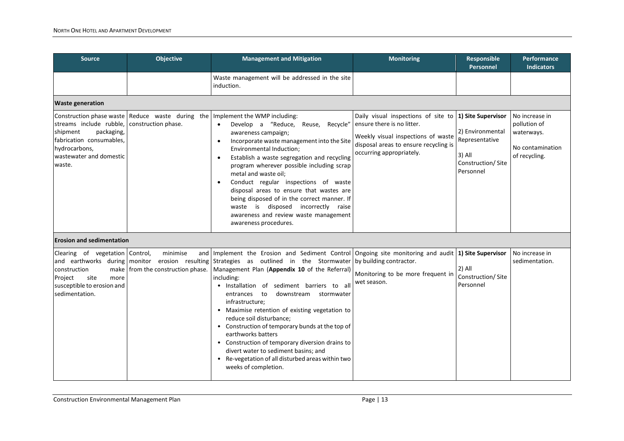| <b>Source</b>                                                                                                                       | <b>Objective</b>                                | <b>Management and Mitigation</b>                                                                                                                                                                                                                                                                                                                                                                                                                                                                                                                                                                                                                                                     | <b>Monitoring</b>                                                                                                                                                            | Responsible<br>Personnel                                                                             | <b>Performance</b><br><b>Indicators</b>                                           |
|-------------------------------------------------------------------------------------------------------------------------------------|-------------------------------------------------|--------------------------------------------------------------------------------------------------------------------------------------------------------------------------------------------------------------------------------------------------------------------------------------------------------------------------------------------------------------------------------------------------------------------------------------------------------------------------------------------------------------------------------------------------------------------------------------------------------------------------------------------------------------------------------------|------------------------------------------------------------------------------------------------------------------------------------------------------------------------------|------------------------------------------------------------------------------------------------------|-----------------------------------------------------------------------------------|
|                                                                                                                                     |                                                 | Waste management will be addressed in the site<br>induction.                                                                                                                                                                                                                                                                                                                                                                                                                                                                                                                                                                                                                         |                                                                                                                                                                              |                                                                                                      |                                                                                   |
| <b>Waste generation</b>                                                                                                             |                                                 |                                                                                                                                                                                                                                                                                                                                                                                                                                                                                                                                                                                                                                                                                      |                                                                                                                                                                              |                                                                                                      |                                                                                   |
| streams include rubble,<br>packaging,<br>shipment<br>fabrication consumables,<br>hydrocarbons,<br>wastewater and domestic<br>waste. | construction phase.                             | Construction phase waste   Reduce waste during the   Implement the WMP including:<br>Develop a "Reduce, Reuse,<br>Recycle"<br>$\bullet$<br>awareness campaign;<br>Incorporate waste management into the Site<br>$\bullet$<br>Environmental Induction;<br>Establish a waste segregation and recycling<br>$\bullet$<br>program wherever possible including scrap<br>metal and waste oil;<br>Conduct regular inspections of waste<br>$\bullet$<br>disposal areas to ensure that wastes are<br>being disposed of in the correct manner. If<br>waste is disposed incorrectly raise<br>awareness and review waste management<br>awareness procedures.                                      | Daily visual inspections of site to<br>ensure there is no litter.<br>Weekly visual inspections of waste<br>disposal areas to ensure recycling is<br>occurring appropriately. | 1) Site Supervisor<br>2) Environmental<br>Representative<br>3) All<br>Construction/Site<br>Personnel | No increase in<br>pollution of<br>waterways.<br>No contamination<br>of recycling. |
| <b>Erosion and sedimentation</b>                                                                                                    |                                                 |                                                                                                                                                                                                                                                                                                                                                                                                                                                                                                                                                                                                                                                                                      |                                                                                                                                                                              |                                                                                                      |                                                                                   |
| Clearing of vegetation Control,<br>construction<br>site<br>Project<br>more<br>susceptible to erosion and<br>sedimentation.          | minimise<br>make   from the construction phase. | and Implement the Erosion and Sediment Control Ongoing site monitoring and audit<br>and earthworks during monitor erosion resulting Strategies as outlined in the Stormwater<br>Management Plan (Appendix 10 of the Referral)<br>including:<br>· Installation of sediment barriers to all<br>downstream stormwater<br>entrances to<br>infrastructure;<br>• Maximise retention of existing vegetation to<br>reduce soil disturbance;<br>• Construction of temporary bunds at the top of<br>earthworks batters<br>• Construction of temporary diversion drains to<br>divert water to sediment basins; and<br>• Re-vegetation of all disturbed areas within two<br>weeks of completion. | by building contractor.<br>Monitoring to be more frequent in<br>wet season.                                                                                                  | 1) Site Supervisor<br>2) All<br>Construction/Site<br>Personnel                                       | No increase in<br>sedimentation.                                                  |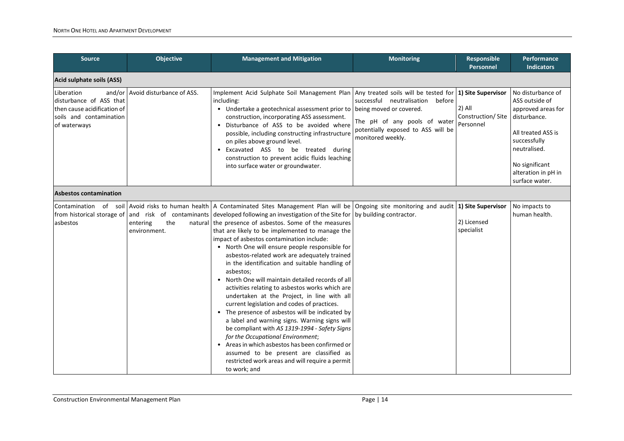| <b>Source</b>                                                                                                   | <b>Objective</b>                 | <b>Management and Mitigation</b>                                                                                                                                                                                                                                                                                                                                                                                                                                                                                                                                                                                                                                                                                                                                                                                                                                                                                                                                                                                                                                                               | <b>Monitoring</b>                                                                                                                                         | Responsible<br>Personnel                                         | Performance<br><b>Indicators</b>                                                                                                                                                           |
|-----------------------------------------------------------------------------------------------------------------|----------------------------------|------------------------------------------------------------------------------------------------------------------------------------------------------------------------------------------------------------------------------------------------------------------------------------------------------------------------------------------------------------------------------------------------------------------------------------------------------------------------------------------------------------------------------------------------------------------------------------------------------------------------------------------------------------------------------------------------------------------------------------------------------------------------------------------------------------------------------------------------------------------------------------------------------------------------------------------------------------------------------------------------------------------------------------------------------------------------------------------------|-----------------------------------------------------------------------------------------------------------------------------------------------------------|------------------------------------------------------------------|--------------------------------------------------------------------------------------------------------------------------------------------------------------------------------------------|
| Acid sulphate soils (ASS)                                                                                       |                                  |                                                                                                                                                                                                                                                                                                                                                                                                                                                                                                                                                                                                                                                                                                                                                                                                                                                                                                                                                                                                                                                                                                |                                                                                                                                                           |                                                                  |                                                                                                                                                                                            |
| Liberation<br>disturbance of ASS that<br>then cause acidification of<br>soils and contamination<br>of waterways | and/or Avoid disturbance of ASS. | Implement Acid Sulphate Soil Management Plan Any treated soils will be tested for<br>including:<br>• Undertake a geotechnical assessment prior to<br>construction, incorporating ASS assessment.<br>· Disturbance of ASS to be avoided where<br>possible, including constructing infrastructure<br>on piles above ground level.<br>• Excavated ASS to be treated<br>during<br>construction to prevent acidic fluids leaching<br>into surface water or groundwater.                                                                                                                                                                                                                                                                                                                                                                                                                                                                                                                                                                                                                             | successful neutralisation<br>before<br>being moved or covered.<br>The pH of any pools of water<br>potentially exposed to ASS will be<br>monitored weekly. | 1) Site Supervisor<br>$2)$ All<br>Construction/Site<br>Personnel | No disturbance of<br>ASS outside of<br>approved areas for<br>disturbance.<br>All treated ASS is<br>successfully<br>neutralised.<br>No significant<br>alteration in pH in<br>surface water. |
| <b>Asbestos contamination</b>                                                                                   |                                  |                                                                                                                                                                                                                                                                                                                                                                                                                                                                                                                                                                                                                                                                                                                                                                                                                                                                                                                                                                                                                                                                                                |                                                                                                                                                           |                                                                  |                                                                                                                                                                                            |
| Contamination<br>asbestos                                                                                       | the<br>entering<br>environment.  | of soil Avoid risks to human health   A Contaminated Sites Management Plan will be<br>from historical storage of   and risk of contaminants   developed following an investigation of the Site for<br>natural the presence of asbestos. Some of the measures<br>that are likely to be implemented to manage the<br>impact of asbestos contamination include:<br>• North One will ensure people responsible for<br>asbestos-related work are adequately trained<br>in the identification and suitable handling of<br>asbestos;<br>• North One will maintain detailed records of all<br>activities relating to asbestos works which are<br>undertaken at the Project, in line with all<br>current legislation and codes of practices.<br>• The presence of asbestos will be indicated by<br>a label and warning signs. Warning signs will<br>be compliant with AS 1319-1994 - Safety Signs<br>for the Occupational Environment;<br>• Areas in which asbestos has been confirmed or<br>assumed to be present are classified as<br>restricted work areas and will require a permit<br>to work; and | Ongoing site monitoring and audit 1) Site Supervisor<br>by building contractor.                                                                           | 2) Licensed<br>specialist                                        | No impacts to<br>human health.                                                                                                                                                             |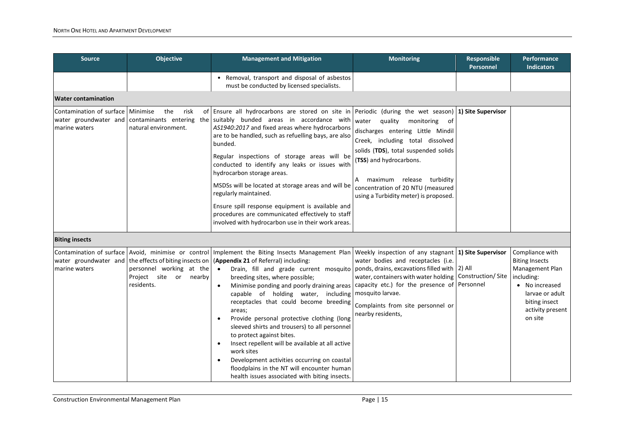| <b>Source</b>                                                                                       | <b>Objective</b>                                                                                                               | <b>Management and Mitigation</b>                                                                                                                                                                                                                                                                                                                                                                                                                                                                                                                                                                                                                                                                                                                                                     | <b>Monitoring</b>                                                                                                                                                                                                                                                                       | Responsible<br>Personnel       | <b>Performance</b><br><b>Indicators</b>                                                                                                                        |
|-----------------------------------------------------------------------------------------------------|--------------------------------------------------------------------------------------------------------------------------------|--------------------------------------------------------------------------------------------------------------------------------------------------------------------------------------------------------------------------------------------------------------------------------------------------------------------------------------------------------------------------------------------------------------------------------------------------------------------------------------------------------------------------------------------------------------------------------------------------------------------------------------------------------------------------------------------------------------------------------------------------------------------------------------|-----------------------------------------------------------------------------------------------------------------------------------------------------------------------------------------------------------------------------------------------------------------------------------------|--------------------------------|----------------------------------------------------------------------------------------------------------------------------------------------------------------|
|                                                                                                     |                                                                                                                                | • Removal, transport and disposal of asbestos<br>must be conducted by licensed specialists.                                                                                                                                                                                                                                                                                                                                                                                                                                                                                                                                                                                                                                                                                          |                                                                                                                                                                                                                                                                                         |                                |                                                                                                                                                                |
| <b>Water contamination</b>                                                                          |                                                                                                                                |                                                                                                                                                                                                                                                                                                                                                                                                                                                                                                                                                                                                                                                                                                                                                                                      |                                                                                                                                                                                                                                                                                         |                                |                                                                                                                                                                |
| Contamination of surface   Minimise<br>water groundwater and contaminants entering<br>marine waters | the<br>risk<br>natural environment.                                                                                            | of Ensure all hydrocarbons are stored on site in Periodic (during the wet season) 1) Site Supervisor<br>the suitably bunded areas in accordance with<br>AS1940:2017 and fixed areas where hydrocarbons<br>are to be handled, such as refuelling bays, are also<br>bunded.<br>Regular inspections of storage areas will be<br>conducted to identify any leaks or issues with<br>hydrocarbon storage areas.<br>MSDSs will be located at storage areas and will be<br>regularly maintained.<br>Ensure spill response equipment is available and<br>procedures are communicated effectively to staff<br>involved with hydrocarbon use in their work areas.                                                                                                                               | water quality monitoring of<br>discharges entering Little Mindil<br>Creek, including total dissolved<br>solids (TDS), total suspended solids<br>(TSS) and hydrocarbons.<br>maximum release turbidity<br>A<br>concentration of 20 NTU (measured<br>using a Turbidity meter) is proposed. |                                |                                                                                                                                                                |
| <b>Biting insects</b>                                                                               |                                                                                                                                |                                                                                                                                                                                                                                                                                                                                                                                                                                                                                                                                                                                                                                                                                                                                                                                      |                                                                                                                                                                                                                                                                                         |                                |                                                                                                                                                                |
| marine waters                                                                                       | water groundwater and   the effects of biting insects on  <br>personnel working at the<br>Project site or nearby<br>residents. | Contamination of surface Avoid, minimise or control Implement the Biting Insects Management Plan<br>(Appendix 21 of Referral) including:<br>Drain, fill and grade current mosquito   ponds, drains, excavations filled with 2) All<br>$\bullet$<br>breeding sites, where possible;<br>Minimise ponding and poorly draining areas<br>capable of holding water, including<br>receptacles that could become breeding<br>areas;<br>Provide personal protective clothing (long<br>sleeved shirts and trousers) to all personnel<br>to protect against bites.<br>Insect repellent will be available at all active<br>work sites<br>Development activities occurring on coastal<br>$\bullet$<br>floodplains in the NT will encounter human<br>health issues associated with biting insects. | Weekly inspection of any stagnant 1) Site Supervisor<br>water bodies and receptacles (i.e.<br>water, containers with water holding<br>capacity etc.) for the presence of<br>mosquito larvae.<br>Complaints from site personnel or<br>nearby residents,                                  | Construction/Site<br>Personnel | Compliance with<br><b>Biting Insects</b><br>Management Plan<br>including:<br>• No increased<br>larvae or adult<br>biting insect<br>activity present<br>on site |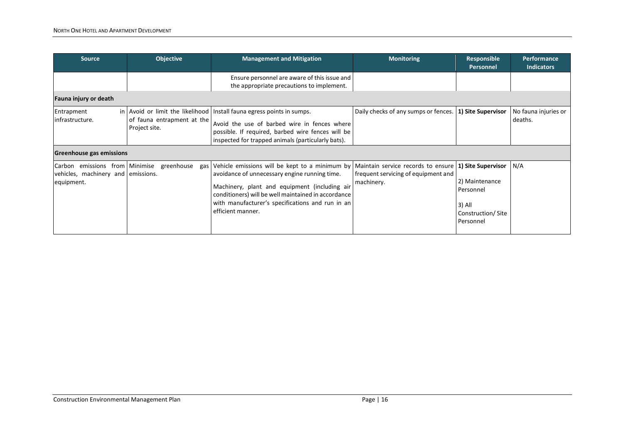| <b>Source</b>                                                                      | <b>Objective</b>                            | <b>Management and Mitigation</b>                                                                                                                                                                                                                                                 | <b>Monitoring</b>                                                                                            | Responsible<br>Personnel                                                | <b>Performance</b><br><b>Indicators</b> |
|------------------------------------------------------------------------------------|---------------------------------------------|----------------------------------------------------------------------------------------------------------------------------------------------------------------------------------------------------------------------------------------------------------------------------------|--------------------------------------------------------------------------------------------------------------|-------------------------------------------------------------------------|-----------------------------------------|
|                                                                                    |                                             | Ensure personnel are aware of this issue and<br>the appropriate precautions to implement.                                                                                                                                                                                        |                                                                                                              |                                                                         |                                         |
| Fauna injury or death                                                              |                                             |                                                                                                                                                                                                                                                                                  |                                                                                                              |                                                                         |                                         |
| Entrapment<br>infrastructure.                                                      | of fauna entrapment at the<br>Project site. | in   Avoid or limit the likelihood   Install fauna egress points in sumps.<br>Avoid the use of barbed wire in fences where<br>possible. If required, barbed wire fences will be<br>inspected for trapped animals (particularly bats).                                            | Daily checks of any sumps or fences. <b>1) Site Supervisor</b>                                               |                                                                         | No fauna injuries or<br>deaths.         |
|                                                                                    | <b>Greenhouse gas emissions</b>             |                                                                                                                                                                                                                                                                                  |                                                                                                              |                                                                         |                                         |
| Carbon emissions from Minimise<br>vehicles, machinery and emissions.<br>equipment. | greenhouse<br>gas                           | Vehicle emissions will be kept to a minimum by<br>avoidance of unnecessary engine running time.<br>Machinery, plant and equipment (including air<br>conditioners) will be well maintained in accordance<br>with manufacturer's specifications and run in an<br>efficient manner. | Maintain service records to ensure   1) Site Supervisor<br>frequent servicing of equipment and<br>machinery. | 2) Maintenance<br>Personnel<br>3) All<br>Construction/Site<br>Personnel | N/A                                     |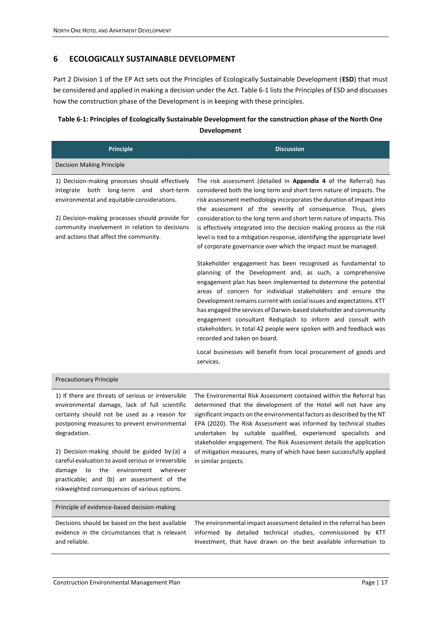## <span id="page-20-0"></span>**6 ECOLOGICALLY SUSTAINABLE DEVELOPMENT**

Part 2 Division 1 of the EP Act sets out the Principles of Ecologically Sustainable Development (**ESD**) that must be considered and applied in making a decision under the Act. [Table 6-1](#page-20-1) lists the Principles of ESD and discusses how the construction phase of the Development is in keeping with these principles.

# <span id="page-20-1"></span>**Table 6-1: Principles of Ecologically Sustainable Development for the construction phase of the North One Development**

| <b>Principle</b>                                                                                                                                                                                                                                                                                                                                                                                                                                               | <b>Discussion</b>                                                                                                                                                                                                                                                                                                                                                                                                                                                                                                                                                                                                                                                                                                                                                                                                                                                                                                                                                                                                                                                                                                                                                                                                                     |
|----------------------------------------------------------------------------------------------------------------------------------------------------------------------------------------------------------------------------------------------------------------------------------------------------------------------------------------------------------------------------------------------------------------------------------------------------------------|---------------------------------------------------------------------------------------------------------------------------------------------------------------------------------------------------------------------------------------------------------------------------------------------------------------------------------------------------------------------------------------------------------------------------------------------------------------------------------------------------------------------------------------------------------------------------------------------------------------------------------------------------------------------------------------------------------------------------------------------------------------------------------------------------------------------------------------------------------------------------------------------------------------------------------------------------------------------------------------------------------------------------------------------------------------------------------------------------------------------------------------------------------------------------------------------------------------------------------------|
| <b>Decision Making Principle</b>                                                                                                                                                                                                                                                                                                                                                                                                                               |                                                                                                                                                                                                                                                                                                                                                                                                                                                                                                                                                                                                                                                                                                                                                                                                                                                                                                                                                                                                                                                                                                                                                                                                                                       |
| 1) Decision-making processes should effectively<br>long-term<br>both<br>and<br>short-term<br>integrate<br>environmental and equitable considerations.<br>2) Decision-making processes should provide for<br>community involvement in relation to decisions<br>and actions that affect the community.                                                                                                                                                           | The risk assessment (detailed in Appendix 4 of the Referral) has<br>considered both the long term and short term nature of impacts. The<br>risk assessment methodology incorporates the duration of impact into<br>the assessment of the severity of consequence. Thus, gives<br>consideration to the long term and short term nature of impacts. This<br>is effectively integrated into the decision making process as the risk<br>level is tied to a mitigation response, identifying the appropriate level<br>of corporate governance over which the impact must be managed.<br>Stakeholder engagement has been recognised as fundamental to<br>planning of the Development and, as such, a comprehensive<br>engagement plan has been implemented to determine the potential<br>areas of concern for individual stakeholders and ensure the<br>Development remains current with social issues and expectations. KTT<br>has engaged the services of Darwin-based stakeholder and community<br>engagement consultant Redsplash to inform and consult with<br>stakeholders. In total 42 people were spoken with and feedback was<br>recorded and taken on board.<br>Local businesses will benefit from local procurement of goods and |
|                                                                                                                                                                                                                                                                                                                                                                                                                                                                | services.                                                                                                                                                                                                                                                                                                                                                                                                                                                                                                                                                                                                                                                                                                                                                                                                                                                                                                                                                                                                                                                                                                                                                                                                                             |
| <b>Precautionary Principle</b>                                                                                                                                                                                                                                                                                                                                                                                                                                 |                                                                                                                                                                                                                                                                                                                                                                                                                                                                                                                                                                                                                                                                                                                                                                                                                                                                                                                                                                                                                                                                                                                                                                                                                                       |
| 1) If there are threats of serious or irreversible<br>environmental damage, lack of full scientific<br>certainty should not be used as a reason for<br>postponing measures to prevent environmental<br>degradation.<br>2) Decision-making should be guided by:(a) a<br>careful evaluation to avoid serious or irreversible<br>damage to the environment wherever<br>practicable; and (b) an assessment of the<br>riskweighted consequences of various options. | The Environmental Risk Assessment contained within the Referral has<br>determined that the development of the Hotel will not have any<br>significant impacts on the environmental factors as described by the NT<br>EPA (2020). The Risk Assessment was informed by technical studies<br>undertaken by suitable qualified, experienced specialists and<br>stakeholder engagement. The Risk Assessment details the application<br>of mitigation measures, many of which have been successfully applied<br>in similar projects.                                                                                                                                                                                                                                                                                                                                                                                                                                                                                                                                                                                                                                                                                                         |
| Principle of evidence-based decision-making                                                                                                                                                                                                                                                                                                                                                                                                                    |                                                                                                                                                                                                                                                                                                                                                                                                                                                                                                                                                                                                                                                                                                                                                                                                                                                                                                                                                                                                                                                                                                                                                                                                                                       |
| Decisions should be based on the best available<br>evidence in the circumstances that is relevant<br>and reliable.                                                                                                                                                                                                                                                                                                                                             | The environmental impact assessment detailed in the referral has been<br>informed by detailed technical studies, commissioned by KTT<br>Investment, that have drawn on the best available information to                                                                                                                                                                                                                                                                                                                                                                                                                                                                                                                                                                                                                                                                                                                                                                                                                                                                                                                                                                                                                              |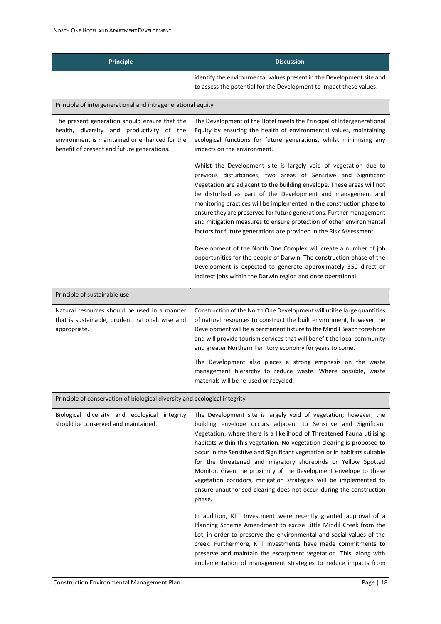| <b>Principle</b>                                                                                                                                                                          | <b>Discussion</b>                                                                                                                                                                                                                                                                                                                                                                                                                                                                                                                                                                                                                            |
|-------------------------------------------------------------------------------------------------------------------------------------------------------------------------------------------|----------------------------------------------------------------------------------------------------------------------------------------------------------------------------------------------------------------------------------------------------------------------------------------------------------------------------------------------------------------------------------------------------------------------------------------------------------------------------------------------------------------------------------------------------------------------------------------------------------------------------------------------|
|                                                                                                                                                                                           | identify the environmental values present in the Development site and<br>to assess the potential for the Development to impact these values.                                                                                                                                                                                                                                                                                                                                                                                                                                                                                                 |
| Principle of intergenerational and intragenerational equity                                                                                                                               |                                                                                                                                                                                                                                                                                                                                                                                                                                                                                                                                                                                                                                              |
| The present generation should ensure that the<br>health, diversity and productivity of the<br>environment is maintained or enhanced for the<br>benefit of present and future generations. | The Development of the Hotel meets the Principal of Intergenerational<br>Equity by ensuring the health of environmental values, maintaining<br>ecological functions for future generations, whilst minimising any<br>impacts on the environment.                                                                                                                                                                                                                                                                                                                                                                                             |
|                                                                                                                                                                                           | Whilst the Development site is largely void of vegetation due to<br>previous disturbances, two areas of Sensitive and Significant<br>Vegetation are adjacent to the building envelope. These areas will not<br>be disturbed as part of the Development and management and<br>monitoring practices will be implemented in the construction phase to<br>ensure they are preserved for future generations. Further management<br>and mitigation measures to ensure protection of other environmental<br>factors for future generations are provided in the Risk Assessment.<br>Development of the North One Complex will create a number of job |
|                                                                                                                                                                                           | opportunities for the people of Darwin. The construction phase of the<br>Development is expected to generate approximately 350 direct or<br>indirect jobs within the Darwin region and once operational.                                                                                                                                                                                                                                                                                                                                                                                                                                     |
| Principle of sustainable use                                                                                                                                                              |                                                                                                                                                                                                                                                                                                                                                                                                                                                                                                                                                                                                                                              |
| Natural resources should be used in a manner<br>that is sustainable, prudent, rational, wise and<br>appropriate.                                                                          | Construction of the North One Development will utilise large quantities<br>of natural resources to construct the built environment, however the<br>Development will be a permanent fixture to the Mindil Beach foreshore<br>and will provide tourism services that will benefit the local community<br>and greater Northern Territory economy for years to come.                                                                                                                                                                                                                                                                             |
|                                                                                                                                                                                           | The Development also places a strong emphasis on the waste<br>management hierarchy to reduce waste. Where possible, waste<br>materials will be re-used or recycled.                                                                                                                                                                                                                                                                                                                                                                                                                                                                          |
| Principle of conservation of biological diversity and ecological integrity                                                                                                                |                                                                                                                                                                                                                                                                                                                                                                                                                                                                                                                                                                                                                                              |
| Biological diversity and ecological integrity<br>should be conserved and maintained.                                                                                                      | The Development site is largely void of vegetation; however, the<br>building envelope occurs adjacent to Sensitive and Significant<br>tation, where there is a likelihood of Threatened Found utilising                                                                                                                                                                                                                                                                                                                                                                                                                                      |

Vegetation, where there is a likelihood of Threatened Fauna utilising habitats within this vegetation. No vegetation clearing is proposed to occur in the Sensitive and Significant vegetation or in habitats suitable for the threatened and migratory shorebirds or Yellow Spotted Monitor. Given the proximity of the Development envelope to these vegetation corridors, mitigation strategies will be implemented to ensure unauthorised clearing does not occur during the construction phase. In addition, KTT Investment were recently granted approval of a

Planning Scheme Amendment to excise Little Mindil Creek from the Lot, in order to preserve the environmental and social values of the creek. Furthermore, KTT Investments have made commitments to preserve and maintain the escarpment vegetation. This, along with implementation of management strategies to reduce impacts from